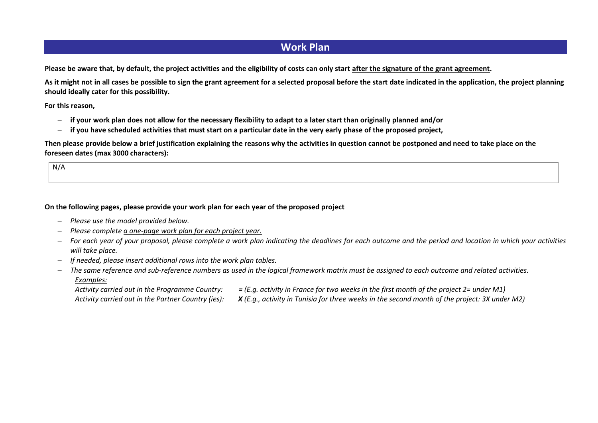# **Work Plan**

**Please be aware that, by default, the project activities and the eligibility of costs can only start after the signature of the grant agreement.** 

**As it might not in all cases be possible to sign the grant agreement for a selected proposal before the start date indicated in the application, the project planning should ideally cater for this possibility.** 

**For this reason,**

- **if your work plan does not allow for the necessary flexibility to adapt to a later start than originally planned and/or**
- **if you have scheduled activities that must start on a particular date in the very early phase of the proposed project,**

**Then please provide below a brief justification explaining the reasons why the activities in question cannot be postponed and need to take place on the foreseen dates (max 3000 characters):**

N/A

### **On the following pages, please provide your work plan for each year of the proposed project**

- *Please use the model provided below.*
- *Please complete a one-page work plan for each project year.*
- *For each year of your proposal, please complete a work plan indicating the deadlines for each outcome and the period and location in which your activities will take place.*
- *If needed, please insert additional rows into the work plan tables.*
- *The same reference and sub-reference numbers as used in the logical framework matrix must be assigned to each outcome and related activities. Examples:*
	- *Activity carried out in the Programme Country: = (E.g. activity in France for two weeks in the first month of the project 2= under M1)*

*Activity carried out in the Partner Country (ies): X (E.g., activity in Tunisia for three weeks in the second month of the project: 3X under M2)*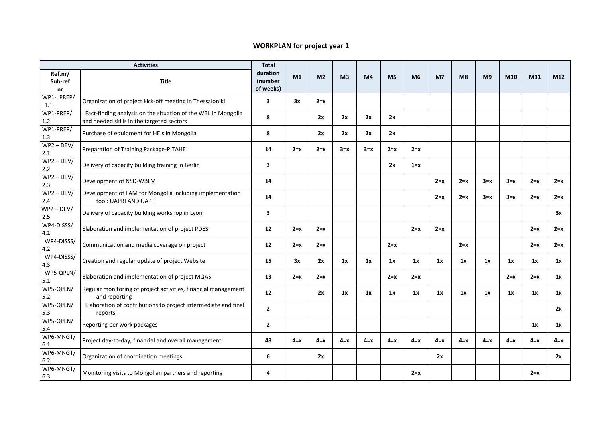#### **WORKPLAN for project year 1** ☒

| <b>Activities</b>        |                                                                                                            | <b>Total</b>                     |                |                |                |                |                |         |                |                |                |         |         |         |
|--------------------------|------------------------------------------------------------------------------------------------------------|----------------------------------|----------------|----------------|----------------|----------------|----------------|---------|----------------|----------------|----------------|---------|---------|---------|
| Ref.nr/<br>Sub-ref<br>nr | <b>Title</b>                                                                                               | duration<br>(number<br>of weeks) | M <sub>1</sub> | M <sub>2</sub> | M <sub>3</sub> | M <sub>4</sub> | M <sub>5</sub> | M6      | M <sub>7</sub> | M <sub>8</sub> | M <sub>9</sub> | M10     | M11     | M12     |
| WP1- PREP/<br>1.1        | Organization of project kick-off meeting in Thessaloniki                                                   | $\overline{\mathbf{3}}$          | 3x             | $2=x$          |                |                |                |         |                |                |                |         |         |         |
| WP1-PREP/<br>$1.2\,$     | Fact-finding analysis on the situation of the WBL in Mongolia<br>and needed skills in the targeted sectors | 8                                |                | 2x             | 2x             | 2x             | 2x             |         |                |                |                |         |         |         |
| WP1-PREP/<br>1.3         | Purchase of equipment for HEIs in Mongolia                                                                 | 8                                |                | 2x             | 2x             | 2x             | 2x             |         |                |                |                |         |         |         |
| $WP2 - DEV/$<br>2.1      | Preparation of Training Package-PITAHE                                                                     | 14                               | $2 = x$        | $2=x$          | $3=x$          | $3=x$          | $2=x$          | $2 = x$ |                |                |                |         |         |         |
| $WP2 - DEV/$<br>$2.2\,$  | Delivery of capacity building training in Berlin                                                           | 3                                |                |                |                |                | 2x             | $1 = x$ |                |                |                |         |         |         |
| $WP2 - DEV/$<br>2.3      | Development of NSD-WBLM                                                                                    | 14                               |                |                |                |                |                |         | $2 = x$        | $2 = x$        | $3=x$          | $3 = x$ | $2=x$   | $2 = x$ |
| $WP2 - DEV/$<br>2.4      | Development of FAM for Mongolia including implementation<br>tool: UAPBI AND UAPT                           | 14                               |                |                |                |                |                |         | $2=x$          | $2 = x$        | $3=x$          | $3=x$   | $2=x$   | $2=x$   |
| $WP2 - DEV/$<br>2.5      | Delivery of capacity building workshop in Lyon                                                             | $\overline{\mathbf{3}}$          |                |                |                |                |                |         |                |                |                |         |         | 3x      |
| WP4-DISSS/<br>4.1        | Elaboration and implementation of project PDES                                                             | 12                               | $2=x$          | $2=x$          |                |                |                | $2 = x$ | $2 = x$        |                |                |         | $2 = x$ | $2=x$   |
| WP4-DISSS/<br>4.2        | Communication and media coverage on project                                                                | 12                               | $2=x$          | $2 = x$        |                |                | $2 = x$        |         |                | $2 = x$        |                |         | $2=x$   | $2 = x$ |
| WP4-DISSS/<br>4.3        | Creation and regular update of project Website                                                             | 15                               | 3x             | 2x             | 1x             | 1x             | 1x             | 1x      | 1x             | 1x             | 1x             | 1x      | 1x      | 1x      |
| WP5-QPLN/<br>5.1         | Elaboration and implementation of project MQAS                                                             | 13                               | $2=x$          | $2=x$          |                |                | $2=x$          | $2=x$   |                |                |                | $2=x$   | $2=x$   | 1x      |
| WP5-QPLN/<br>5.2         | Regular monitoring of project activities, financial management<br>and reporting                            | 12                               |                | 2x             | 1x             | 1x             | 1x             | 1x      | 1x             | 1x             | 1x             | 1x      | 1x      | 1x      |
| WP5-QPLN/<br>5.3         | Elaboration of contributions to project intermediate and final<br>reports;                                 | $\overline{2}$                   |                |                |                |                |                |         |                |                |                |         |         | 2x      |
| WP5-QPLN/<br>5.4         | Reporting per work packages                                                                                | $\mathbf{2}$                     |                |                |                |                |                |         |                |                |                |         | 1x      | 1x      |
| WP6-MNGT/<br>6.1         | Project day-to-day, financial and overall management                                                       | 48                               | $4 = x$        | $4 = x$        | $4 = x$        | $4 = x$        | $4 = x$        | $4 = x$ | $4 = x$        | $4 = x$        | $4 = x$        | $4 = x$ | $4 = x$ | $4 = x$ |
| WP6-MNGT/<br>6.2         | Organization of coordination meetings                                                                      | 6                                |                | 2x             |                |                |                |         | 2x             |                |                |         |         | 2x      |
| WP6-MNGT/<br>6.3         | Monitoring visits to Mongolian partners and reporting                                                      | 4                                |                |                |                |                |                | $2=x$   |                |                |                |         | $2=x$   |         |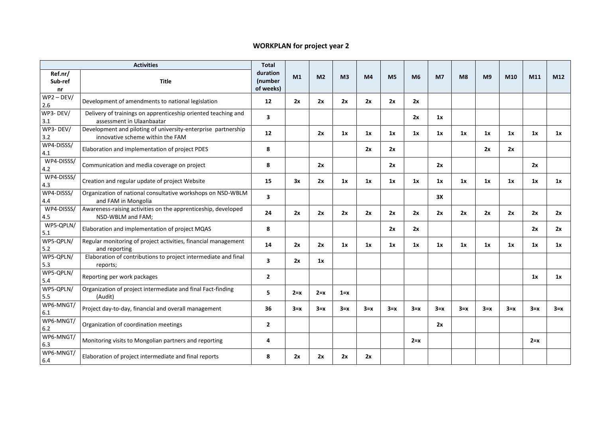#### **WORKPLAN for project year 2** ☐

| <b>Activities</b>        |                                                                                                   | <b>Total</b>                     |                |                |                |                |                |         |                |       |                |       |         |                 |
|--------------------------|---------------------------------------------------------------------------------------------------|----------------------------------|----------------|----------------|----------------|----------------|----------------|---------|----------------|-------|----------------|-------|---------|-----------------|
| Ref.nr/<br>Sub-ref<br>nr | <b>Title</b>                                                                                      | duration<br>(number<br>of weeks) | M <sub>1</sub> | M <sub>2</sub> | M <sub>3</sub> | M <sub>4</sub> | M <sub>5</sub> | M6      | M <sub>7</sub> | M8    | M <sub>9</sub> | M10   | M11     | M <sub>12</sub> |
| $WP2 - DEV/$<br>2.6      | Development of amendments to national legislation                                                 | 12                               | 2x             | 2x             | 2x             | 2x             | 2x             | 2x      |                |       |                |       |         |                 |
| WP3-DEV/<br>3.1          | Delivery of trainings on apprenticeship oriented teaching and<br>assessment in Ulaanbaatar        | $\overline{\mathbf{3}}$          |                |                |                |                |                | 2x      | 1x             |       |                |       |         |                 |
| WP3-DEV/<br>3.2          | Development and piloting of university-enterprise partnership<br>innovative scheme within the FAM | 12                               |                | 2x             | 1x             | 1x             | 1x             | 1x      | 1x             | 1x    | 1x             | 1x    | 1x      | 1x              |
| WP4-DISSS/<br>4.1        | Elaboration and implementation of project PDES                                                    | 8                                |                |                |                | 2x             | 2x             |         |                |       | 2x             | 2x    |         |                 |
| WP4-DISSS/<br>4.2        | Communication and media coverage on project                                                       | 8                                |                | 2x             |                |                | 2x             |         | 2x             |       |                |       | 2x      |                 |
| WP4-DISSS/<br>4.3        | Creation and regular update of project Website                                                    | 15                               | 3x             | 2x             | 1x             | 1x             | 1x             | 1x      | 1x             | 1x    | 1x             | 1x    | 1x      | 1x              |
| WP4-DISSS/<br>4.4        | Organization of national consultative workshops on NSD-WBLM<br>and FAM in Mongolia                | $\overline{\mathbf{3}}$          |                |                |                |                |                |         | 3X             |       |                |       |         |                 |
| WP4-DISSS/<br>4.5        | Awareness-raising activities on the apprenticeship, developed<br>NSD-WBLM and FAM;                | 24                               | 2x             | 2x             | 2x             | 2x             | 2x             | 2x      | 2x             | 2x    | 2x             | 2x    | 2x      | 2x              |
| WP5-QPLN/<br>5.1         | Elaboration and implementation of project MQAS                                                    | 8                                |                |                |                |                | 2x             | 2x      |                |       |                |       | 2x      | 2x              |
| WP5-QPLN/<br>5.2         | Regular monitoring of project activities, financial management<br>and reporting                   | 14                               | 2x             | 2x             | 1x             | 1x             | 1x             | 1x      | 1x             | 1x    | 1x             | 1x    | 1x      | 1x              |
| WP5-QPLN/<br>5.3         | Elaboration of contributions to project intermediate and final<br>reports;                        | $\overline{\mathbf{3}}$          | 2x             | 1x             |                |                |                |         |                |       |                |       |         |                 |
| WP5-QPLN/<br>5.4         | Reporting per work packages                                                                       | $\overline{2}$                   |                |                |                |                |                |         |                |       |                |       | 1x      | 1x              |
| WP5-QPLN/<br>5.5         | Organization of project intermediate and final Fact-finding<br>(Audit)                            | 5                                | $2 = x$        | $2 = x$        | $1 = x$        |                |                |         |                |       |                |       |         |                 |
| WP6-MNGT/<br>6.1         | Project day-to-day, financial and overall management                                              | 36                               | $3=x$          | $3=x$          | $3=x$          | $3=x$          | $3=x$          | $3=x$   | $3=x$          | $3=x$ | $3=x$          | $3=x$ | $3=x$   | $3=x$           |
| WP6-MNGT/<br>6.2         | Organization of coordination meetings                                                             | $\overline{2}$                   |                |                |                |                |                |         | 2x             |       |                |       |         |                 |
| WP6-MNGT/<br>6.3         | Monitoring visits to Mongolian partners and reporting                                             | 4                                |                |                |                |                |                | $2 = x$ |                |       |                |       | $2 = x$ |                 |
| WP6-MNGT/<br>6.4         | Elaboration of project intermediate and final reports                                             | 8                                | 2x             | 2x             | 2x             | 2x             |                |         |                |       |                |       |         |                 |